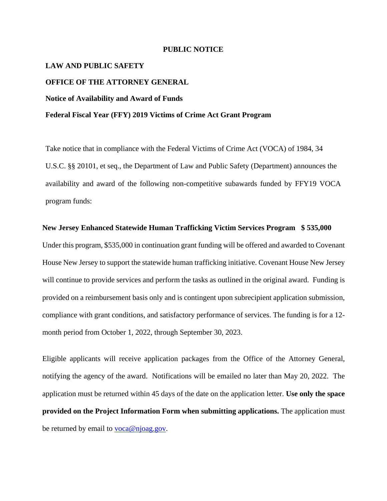## **PUBLIC NOTICE**

# **LAW AND PUBLIC SAFETY**

## **OFFICE OF THE ATTORNEY GENERAL**

### **Notice of Availability and Award of Funds**

#### **Federal Fiscal Year (FFY) 2019 Victims of Crime Act Grant Program**

Take notice that in compliance with the Federal Victims of Crime Act (VOCA) of 1984, 34 U.S.C. §§ 20101, et seq., the Department of Law and Public Safety (Department) announces the availability and award of the following non-competitive subawards funded by FFY19 VOCA program funds:

#### **New Jersey Enhanced Statewide Human Trafficking Victim Services Program \$ 535,000**

Under this program, \$535,000 in continuation grant funding will be offered and awarded to Covenant House New Jersey to support the statewide human trafficking initiative. Covenant House New Jersey will continue to provide services and perform the tasks as outlined in the original award. Funding is provided on a reimbursement basis only and is contingent upon subrecipient application submission, compliance with grant conditions, and satisfactory performance of services. The funding is for a 12 month period from October 1, 2022, through September 30, 2023.

Eligible applicants will receive application packages from the Office of the Attorney General, notifying the agency of the award. Notifications will be emailed no later than May 20, 2022. The application must be returned within 45 days of the date on the application letter. **Use only the space provided on the Project Information Form when submitting applications.** The application must be returned by email to [voca@njoag.gov.](mailto:voca@njoag.gov)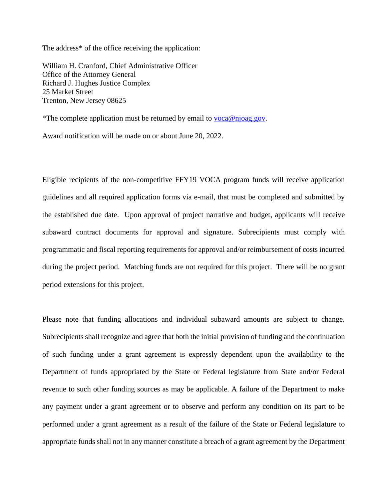The address\* of the office receiving the application:

William H. Cranford, Chief Administrative Officer Office of the Attorney General Richard J. Hughes Justice Complex 25 Market Street Trenton, New Jersey 08625

\*The complete application must be returned by email to [voca@njoag.gov.](mailto:voca@njoag.gov)

Award notification will be made on or about June 20, 2022.

Eligible recipients of the non-competitive FFY19 VOCA program funds will receive application guidelines and all required application forms via e-mail, that must be completed and submitted by the established due date. Upon approval of project narrative and budget, applicants will receive subaward contract documents for approval and signature. Subrecipients must comply with programmatic and fiscal reporting requirements for approval and/or reimbursement of costs incurred during the project period. Matching funds are not required for this project. There will be no grant period extensions for this project.

Please note that funding allocations and individual subaward amounts are subject to change. Subrecipients shall recognize and agree that both the initial provision of funding and the continuation of such funding under a grant agreement is expressly dependent upon the availability to the Department of funds appropriated by the State or Federal legislature from State and/or Federal revenue to such other funding sources as may be applicable. A failure of the Department to make any payment under a grant agreement or to observe and perform any condition on its part to be performed under a grant agreement as a result of the failure of the State or Federal legislature to appropriate funds shall not in any manner constitute a breach of a grant agreement by the Department